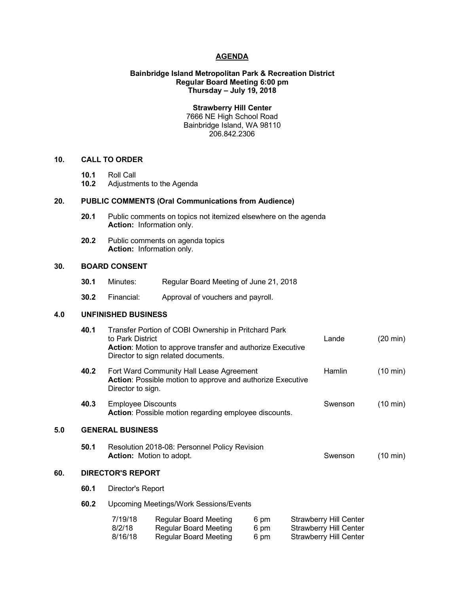## **AGENDA**

# **Bainbridge Island Metropolitan Park & Recreation District Regular Board Meeting 6:00 pm Thursday – July 19, 2018**

**Strawberry Hill Center** 7666 NE High School Road Bainbridge Island, WA 98110 206.842.2306

# **10. CALL TO ORDER**

- **10.1** Roll Call
- **10.2** Adjustments to the Agenda

# **20. PUBLIC COMMENTS (Oral Communications from Audience)**

- **20.1** Public comments on topics not itemized elsewhere on the agenda **Action:** Information only.
- **20.2** Public comments on agenda topics **Action:** Information only.

# **30. BOARD CONSENT**

- **30.1** Minutes: Regular Board Meeting of June 21, 2018
- **30.2** Financial: Approval of vouchers and payroll.

# **4.0 UNFINISHED BUSINESS**

|     | 40.1 | Transfer Portion of COBI Ownership in Pritchard Park<br>to Park District<br>Action: Motion to approve transfer and authorize Executive<br>Director to sign related documents. |                                                                                              |                      |  | Lande                                                                                           | $(20 \text{ min})$ |
|-----|------|-------------------------------------------------------------------------------------------------------------------------------------------------------------------------------|----------------------------------------------------------------------------------------------|----------------------|--|-------------------------------------------------------------------------------------------------|--------------------|
|     | 40.2 | Fort Ward Community Hall Lease Agreement<br>Action: Possible motion to approve and authorize Executive<br>Director to sign.                                                   |                                                                                              |                      |  | Hamlin                                                                                          | (10 min)           |
|     | 40.3 | <b>Employee Discounts</b><br>Action: Possible motion regarding employee discounts.                                                                                            |                                                                                              |                      |  | Swenson                                                                                         | $(10 \text{ min})$ |
| 5.0 |      | <b>GENERAL BUSINESS</b>                                                                                                                                                       |                                                                                              |                      |  |                                                                                                 |                    |
|     | 50.1 | Resolution 2018-08: Personnel Policy Revision<br><b>Action:</b> Motion to adopt.                                                                                              |                                                                                              |                      |  | Swenson                                                                                         | (10 min)           |
| 60. |      | <b>DIRECTOR'S REPORT</b>                                                                                                                                                      |                                                                                              |                      |  |                                                                                                 |                    |
|     | 60.1 | Director's Report                                                                                                                                                             |                                                                                              |                      |  |                                                                                                 |                    |
|     | 60.2 | <b>Upcoming Meetings/Work Sessions/Events</b>                                                                                                                                 |                                                                                              |                      |  |                                                                                                 |                    |
|     |      | 7/19/18<br>8/2/18<br>8/16/18                                                                                                                                                  | <b>Regular Board Meeting</b><br><b>Regular Board Meeting</b><br><b>Regular Board Meeting</b> | 6 pm<br>6 pm<br>6 pm |  | <b>Strawberry Hill Center</b><br><b>Strawberry Hill Center</b><br><b>Strawberry Hill Center</b> |                    |